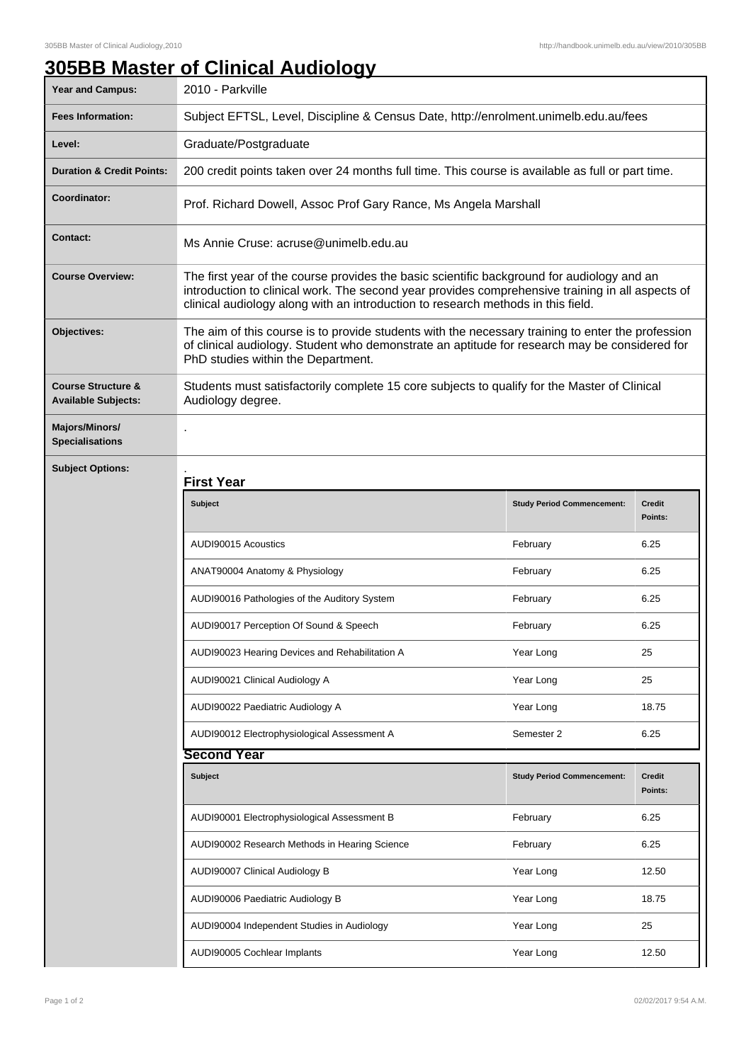## **305BB Master of Clinical Audiology**

| <b>Year and Campus:</b>                                     | 2010 - Parkville                                                                                                                                                                                                                                                                   |                                   |                          |  |
|-------------------------------------------------------------|------------------------------------------------------------------------------------------------------------------------------------------------------------------------------------------------------------------------------------------------------------------------------------|-----------------------------------|--------------------------|--|
| <b>Fees Information:</b>                                    | Subject EFTSL, Level, Discipline & Census Date, http://enrolment.unimelb.edu.au/fees                                                                                                                                                                                               |                                   |                          |  |
| Level:                                                      | Graduate/Postgraduate                                                                                                                                                                                                                                                              |                                   |                          |  |
| <b>Duration &amp; Credit Points:</b>                        | 200 credit points taken over 24 months full time. This course is available as full or part time.                                                                                                                                                                                   |                                   |                          |  |
| Coordinator:                                                | Prof. Richard Dowell, Assoc Prof Gary Rance, Ms Angela Marshall                                                                                                                                                                                                                    |                                   |                          |  |
| Contact:                                                    | Ms Annie Cruse: acruse@unimelb.edu.au                                                                                                                                                                                                                                              |                                   |                          |  |
| <b>Course Overview:</b>                                     | The first year of the course provides the basic scientific background for audiology and an<br>introduction to clinical work. The second year provides comprehensive training in all aspects of<br>clinical audiology along with an introduction to research methods in this field. |                                   |                          |  |
| Objectives:                                                 | The aim of this course is to provide students with the necessary training to enter the profession<br>of clinical audiology. Student who demonstrate an aptitude for research may be considered for<br>PhD studies within the Department.                                           |                                   |                          |  |
| <b>Course Structure &amp;</b><br><b>Available Subjects:</b> | Students must satisfactorily complete 15 core subjects to qualify for the Master of Clinical<br>Audiology degree.                                                                                                                                                                  |                                   |                          |  |
| Majors/Minors/<br><b>Specialisations</b>                    |                                                                                                                                                                                                                                                                                    |                                   |                          |  |
| <b>Subject Options:</b>                                     | <b>First Year</b>                                                                                                                                                                                                                                                                  |                                   |                          |  |
|                                                             | <b>Subject</b>                                                                                                                                                                                                                                                                     | <b>Study Period Commencement:</b> | <b>Credit</b><br>Points: |  |
|                                                             | AUDI90015 Acoustics                                                                                                                                                                                                                                                                | February                          | 6.25                     |  |
|                                                             | ANAT90004 Anatomy & Physiology                                                                                                                                                                                                                                                     | February                          | 6.25                     |  |
|                                                             | AUDI90016 Pathologies of the Auditory System                                                                                                                                                                                                                                       | February                          | 6.25                     |  |
|                                                             | AUDI90017 Perception Of Sound & Speech                                                                                                                                                                                                                                             | February                          | 6.25                     |  |
|                                                             | AUDI90023 Hearing Devices and Rehabilitation A                                                                                                                                                                                                                                     | Year Long                         | 25                       |  |
|                                                             | AUDI90021 Clinical Audiology A                                                                                                                                                                                                                                                     | Year Long                         | 25                       |  |
|                                                             | AUDI90022 Paediatric Audiology A                                                                                                                                                                                                                                                   | Year Long                         | 18.75                    |  |
|                                                             | AUDI90012 Electrophysiological Assessment A                                                                                                                                                                                                                                        | Semester 2                        | 6.25                     |  |
|                                                             | Second Year                                                                                                                                                                                                                                                                        |                                   |                          |  |
|                                                             | <b>Subject</b>                                                                                                                                                                                                                                                                     | <b>Study Period Commencement:</b> | <b>Credit</b><br>Points: |  |
|                                                             | AUDI90001 Electrophysiological Assessment B                                                                                                                                                                                                                                        | February                          | 6.25                     |  |
|                                                             | AUDI90002 Research Methods in Hearing Science                                                                                                                                                                                                                                      | February                          | 6.25                     |  |
|                                                             | AUDI90007 Clinical Audiology B                                                                                                                                                                                                                                                     | Year Long                         | 12.50                    |  |
|                                                             | AUDI90006 Paediatric Audiology B                                                                                                                                                                                                                                                   | Year Long                         | 18.75                    |  |
|                                                             | AUDI90004 Independent Studies in Audiology                                                                                                                                                                                                                                         | Year Long                         | 25                       |  |
|                                                             | AUDI90005 Cochlear Implants                                                                                                                                                                                                                                                        | Year Long                         | 12.50                    |  |